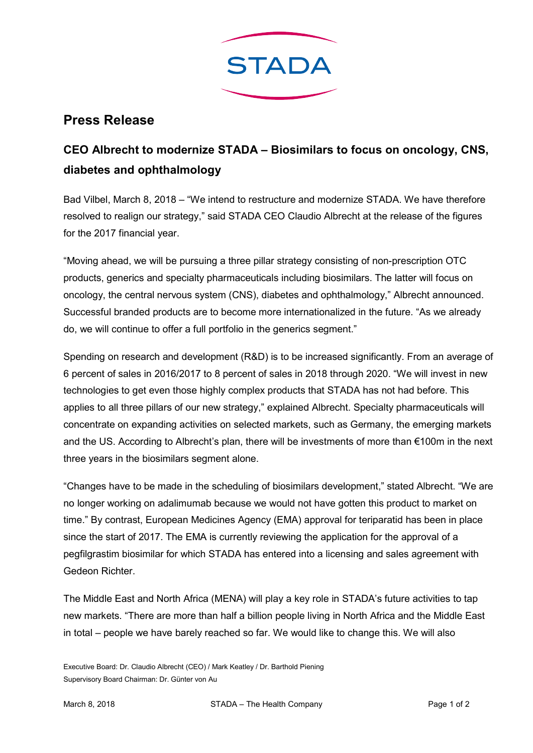

## Press Release

## CEO Albrecht to modernize STADA – Biosimilars to focus on oncology, CNS, diabetes and ophthalmology

Bad Vilbel, March 8, 2018 – "We intend to restructure and modernize STADA. We have therefore resolved to realign our strategy," said STADA CEO Claudio Albrecht at the release of the figures for the 2017 financial year.

"Moving ahead, we will be pursuing a three pillar strategy consisting of non-prescription OTC products, generics and specialty pharmaceuticals including biosimilars. The latter will focus on oncology, the central nervous system (CNS), diabetes and ophthalmology," Albrecht announced. Successful branded products are to become more internationalized in the future. "As we already do, we will continue to offer a full portfolio in the generics segment."

Spending on research and development (R&D) is to be increased significantly. From an average of 6 percent of sales in 2016/2017 to 8 percent of sales in 2018 through 2020. "We will invest in new technologies to get even those highly complex products that STADA has not had before. This applies to all three pillars of our new strategy," explained Albrecht. Specialty pharmaceuticals will concentrate on expanding activities on selected markets, such as Germany, the emerging markets and the US. According to Albrecht's plan, there will be investments of more than €100m in the next three years in the biosimilars segment alone.

"Changes have to be made in the scheduling of biosimilars development," stated Albrecht. "We are no longer working on adalimumab because we would not have gotten this product to market on time." By contrast, European Medicines Agency (EMA) approval for teriparatid has been in place since the start of 2017. The EMA is currently reviewing the application for the approval of a pegfilgrastim biosimilar for which STADA has entered into a licensing and sales agreement with Gedeon Richter.

The Middle East and North Africa (MENA) will play a key role in STADA's future activities to tap new markets. "There are more than half a billion people living in North Africa and the Middle East in total – people we have barely reached so far. We would like to change this. We will also

Executive Board: Dr. Claudio Albrecht (CEO) / Mark Keatley / Dr. Barthold Piening Supervisory Board Chairman: Dr. Günter von Au